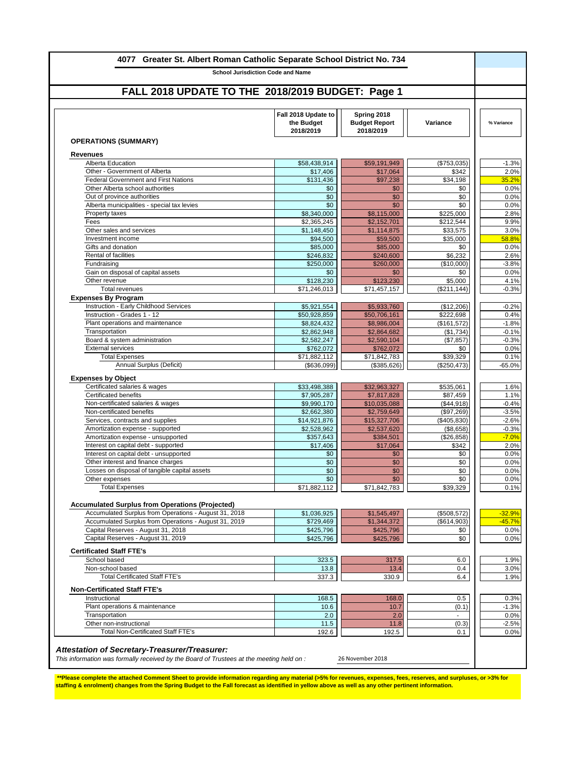| 4077 Greater St. Albert Roman Catholic Separate School District No. 734         | <b>School Jurisdiction Code and Name</b>       |                                                  |                |              |
|---------------------------------------------------------------------------------|------------------------------------------------|--------------------------------------------------|----------------|--------------|
|                                                                                 |                                                |                                                  |                |              |
| FALL 2018 UPDATE TO THE 2018/2019 BUDGET: Page 1                                |                                                |                                                  |                |              |
|                                                                                 | Fall 2018 Update to<br>the Budget<br>2018/2019 | Spring 2018<br><b>Budget Report</b><br>2018/2019 | Variance       | % Variance   |
| <b>OPERATIONS (SUMMARY)</b>                                                     |                                                |                                                  |                |              |
| <b>Revenues</b>                                                                 |                                                |                                                  |                |              |
| Alberta Education                                                               | \$58,438,914                                   | \$59,191,949                                     | (\$753,035)    | $-1.3%$      |
| Other - Government of Alberta                                                   | \$17,406                                       | \$17,064                                         | \$342          | 2.0%         |
| <b>Federal Government and First Nations</b><br>Other Alberta school authorities | \$131,436                                      | \$97,238                                         | \$34,198       | 35.2%        |
| Out of province authorities                                                     | \$0<br>\$0                                     | \$0<br>\$0                                       | \$0<br>\$0     | 0.0%<br>0.0% |
| Alberta municipalities - special tax levies                                     | \$0                                            | \$0                                              | \$0            | 0.0%         |
| Property taxes                                                                  | \$8,340,000                                    | \$8,115,000                                      | \$225,000      | 2.8%         |
| Fees                                                                            | \$2,365,245                                    | \$2,152,701                                      | \$212,544      | 9.9%         |
| Other sales and services                                                        | \$1,148,450                                    | \$1,114,875                                      | \$33,575       | 3.0%         |
| Investment income                                                               | \$94,500                                       | \$59,500                                         | \$35,000       | 58.8%        |
| Gifts and donation                                                              | \$85,000                                       | \$85,000                                         | \$0            | 0.0%         |
| Rental of facilities                                                            | \$246,832                                      | \$240,600                                        | \$6,232        | 2.6%         |
| Fundraising                                                                     | \$250,000                                      | \$260,000                                        | (\$10,000)     | $-3.8%$      |
| Gain on disposal of capital assets                                              | \$0                                            | \$0                                              | \$0            | 0.0%         |
| Other revenue<br><b>Total revenues</b>                                          | \$128,230                                      | \$123,230                                        | \$5,000        | 4.1%         |
|                                                                                 | \$71,246,013                                   | \$71,457,157                                     | (\$211, 144)   | $-0.3%$      |
| <b>Expenses By Program</b><br>Instruction - Early Childhood Services            | \$5,921,554                                    | \$5,933,760                                      | (\$12,206)     | $-0.2%$      |
| Instruction - Grades 1 - 12                                                     | \$50,928,859                                   | \$50,706,161                                     | \$222,698      | 0.4%         |
| Plant operations and maintenance                                                | \$8,824,432                                    | \$8,986,004                                      | (\$161,572)    | $-1.8%$      |
| Transportation                                                                  | \$2,862,948                                    | \$2,864,682                                      | (\$1,734)      | $-0.1%$      |
| Board & system administration                                                   | \$2,582,247                                    | \$2,590,104                                      | (\$7,857)      | $-0.3%$      |
| <b>External services</b>                                                        | \$762,072                                      | \$762,072                                        | \$0            | 0.0%         |
| <b>Total Expenses</b>                                                           | \$71,882,112                                   | \$71,842,783                                     | \$39,329       | 0.1%         |
| Annual Surplus (Deficit)                                                        | (\$636,099)                                    | (\$385,626)                                      | (\$250,473)    | $-65.0%$     |
| <b>Expenses by Object</b>                                                       |                                                |                                                  |                |              |
| Certificated salaries & wages                                                   | \$33,498,388                                   | \$32,963,327                                     | \$535,061      | 1.6%         |
| <b>Certificated benefits</b>                                                    | \$7,905,287                                    | \$7,817,828                                      | \$87,459       | 1.1%         |
| Non-certificated salaries & wages                                               | \$9,990,170                                    | \$10,035,088                                     | (\$44,918)     | $-0.4%$      |
| Non-certificated benefits                                                       | \$2,662,380                                    | \$2,759,649                                      | (\$97,269)     | $-3.5%$      |
| Services, contracts and supplies                                                | \$14,921,876                                   | \$15,327,706                                     | (\$405,830)    | $-2.6%$      |
| Amortization expense - supported                                                | $\overline{$2,528,962}$                        | \$2,537,620                                      | (\$8,658)      | $-0.3%$      |
| Amortization expense - unsupported                                              | \$357,643                                      | \$384,501                                        | (\$26,858)     | $-7.0%$      |
| Interest on capital debt - supported<br>Interest on capital debt - unsupported  | \$17,406<br>\$0                                | \$17,064<br>\$0                                  | \$342<br>\$0   | 2.0%<br>0.0% |
| Other interest and finance charges                                              | \$0                                            | \$0                                              | \$0            | 0.0%         |
| Losses on disposal of tangible capital assets                                   | \$0                                            | \$0                                              | \$0            | 0.0%         |
| Other expenses                                                                  | \$0                                            | \$0                                              | \$0            | 0.0%         |
| <b>Total Expenses</b>                                                           | \$71,882,112                                   | \$71,842,783                                     | \$39,329       | 0.1%         |
|                                                                                 |                                                |                                                  |                |              |
| <b>Accumulated Surplus from Operations (Projected)</b>                          |                                                |                                                  |                |              |
| Accumulated Surplus from Operations - August 31, 2018                           | \$1,036,925                                    | \$1,545,497                                      | (\$508,572)    | $-32.9%$     |
| Accumulated Surplus from Operations - August 31, 2019                           | \$729,469                                      | \$1,344,372                                      | (\$614,903)    | $-45.7%$     |
| Capital Reserves - August 31, 2018                                              | \$425,796                                      | \$425,796                                        | \$0            | 0.0%         |
| Capital Reserves - August 31, 2019                                              | \$425,796                                      | \$425,796                                        | \$0            | 0.0%         |
| <b>Certificated Staff FTE's</b>                                                 |                                                |                                                  |                |              |
| School based                                                                    | 323.5                                          | 317.5                                            | 6.0            | 1.9%         |
| Non-school based                                                                | 13.8                                           | 13.4                                             | 0.4            | 3.0%         |
| <b>Total Certificated Staff FTE's</b>                                           | 337.3                                          | 330.9                                            | 6.4            | 1.9%         |
| <b>Non-Certificated Staff FTE's</b>                                             |                                                |                                                  |                |              |
| Instructional                                                                   | 168.5                                          | 168.0                                            | $0.5\,$        | 0.3%         |
| Plant operations & maintenance                                                  | 10.6                                           | 10.7                                             | (0.1)          | $-1.3%$      |
| Transportation                                                                  | 2.0                                            | 2.0                                              | $\blacksquare$ | 0.0%         |
| Other non-instructional                                                         | 11.5                                           | 11.8                                             | (0.3)          | $-2.5%$      |
| <b>Total Non-Certificated Staff FTE's</b>                                       | 192.6                                          | 192.5                                            | 0.1            | 0.0%         |

\*\*Please complete the attached Comment Sheet to provide information regarding any material (>5% for revenues, expenses, fees, reserves, and surpluses, or >3% for<br>staffing & enrolment) changes from the Spring Budget to the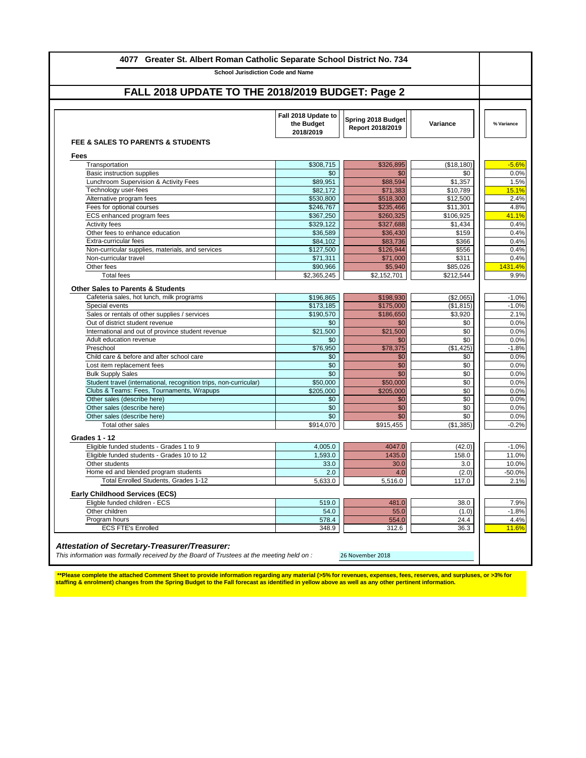| FALL 2018 UPDATE TO THE 2018/2019 BUDGET: Page 2                                       |                                                |                                        |                       |                |
|----------------------------------------------------------------------------------------|------------------------------------------------|----------------------------------------|-----------------------|----------------|
|                                                                                        | Fall 2018 Update to<br>the Budget<br>2018/2019 | Spring 2018 Budget<br>Report 2018/2019 | Variance              | % Variance     |
| FEE & SALES TO PARENTS & STUDENTS<br>Fees                                              |                                                |                                        |                       |                |
| Transportation                                                                         | \$308,715                                      | \$326,895                              | (\$18,180)            |                |
| Basic instruction supplies                                                             | \$0                                            | \$0                                    | \$0                   |                |
| Lunchroom Supervision & Activity Fees                                                  | \$89,951                                       | \$88,594                               | \$1,357               |                |
| Technology user-fees                                                                   | \$82.172                                       | \$71,383                               | \$10,789              | 15.1%          |
| Alternative program fees                                                               | \$530,800                                      | \$518,300                              | \$12,500              |                |
| Fees for optional courses                                                              | \$246,767                                      | \$235,466                              | \$11,301              |                |
| ECS enhanced program fees                                                              | \$367,250                                      | \$260,325                              | \$106,925             | 41.1%          |
| Activity fees                                                                          | \$329,122                                      | \$327,688                              | \$1,434               |                |
| Other fees to enhance education                                                        | \$36,589                                       | \$36,430                               | \$159                 |                |
| Extra-curricular fees                                                                  | \$84,102                                       | \$83,736                               | \$366                 |                |
| Non-curricular supplies, materials, and services                                       | \$127,500                                      | \$126,944                              | \$556<br>\$311        |                |
| Non-curricular travel<br>Other fees                                                    | \$71,311                                       | \$71,000                               |                       |                |
| <b>Total fees</b>                                                                      | \$90,966<br>\$2,365,245                        | \$5,940<br>\$2,152,701                 | \$85,026<br>\$212,544 | 1431.4%        |
|                                                                                        |                                                |                                        |                       |                |
| <b>Other Sales to Parents &amp; Students</b>                                           |                                                |                                        |                       |                |
| Cafeteria sales, hot lunch, milk programs                                              | \$196,865                                      | \$198,930                              | (\$2,065)             |                |
| Special events                                                                         | \$173,185                                      | \$175,000                              | (\$1,815)             |                |
| Sales or rentals of other supplies / services                                          | \$190.570                                      | \$186,650                              | \$3,920               |                |
| Out of district student revenue                                                        | \$0                                            | \$0                                    | \$0                   |                |
| International and out of province student revenue                                      | \$21,500                                       | \$21,500                               | \$0                   |                |
| Adult education revenue                                                                | \$0                                            | \$0                                    | \$0                   |                |
| Preschool                                                                              | \$76,950                                       | \$78,375                               | (\$1,425)             |                |
| Child care & before and after school care<br>Lost item replacement fees                | \$0<br>\$0                                     | \$0<br>\$0                             | \$0<br>\$0            |                |
| <b>Bulk Supply Sales</b>                                                               | \$0                                            | \$0                                    | \$0                   |                |
| Student travel (international, recognition trips, non-curricular)                      | \$50,000                                       | \$50,000                               | \$0                   |                |
| Clubs & Teams: Fees, Tournaments, Wrapups                                              | \$205,000                                      | \$205,000                              | \$0                   |                |
| Other sales (describe here)                                                            | \$0                                            | \$0                                    | \$0                   |                |
| Other sales (describe here)                                                            | \$0                                            | \$0                                    | \$0                   |                |
| Other sales (describe here)                                                            | \$0                                            | \$0                                    | \$0                   |                |
| Total other sales                                                                      | \$914,070                                      | \$915,455                              | (\$1,385)             |                |
|                                                                                        |                                                |                                        |                       |                |
| <b>Grades 1 - 12</b>                                                                   |                                                |                                        |                       |                |
| Eligible funded students - Grades 1 to 9<br>Eligible funded students - Grades 10 to 12 | 4,005.0<br>1,593.0                             | 4047.0<br>1435.0                       | (42.0)<br>158.0       |                |
| Other students                                                                         | 33.0                                           | 30.0                                   | 3.0                   | 11.0%<br>10.0% |
| Home ed and blended program students                                                   | 2.0                                            | 4.0                                    | (2.0)                 | $-50.0%$       |
| Total Enrolled Students, Grades 1-12                                                   | 5,633.0                                        | 5,516.0                                | 117.0                 |                |
|                                                                                        |                                                |                                        |                       |                |
| <b>Early Childhood Services (ECS)</b><br>Eligble funded children - ECS                 |                                                | 481.0                                  |                       |                |
| Other children                                                                         | 519.0<br>54.0                                  | 55.0                                   | 38.0                  |                |
| Program hours                                                                          | 578.4                                          |                                        | (1.0)                 |                |
| <b>ECS FTE's Enrolled</b>                                                              | 348.9                                          | 554.0<br>312.6                         | 24.4<br>36.3          |                |
|                                                                                        |                                                |                                        |                       | 11.6%          |

\*\*Please complete the attached Comment Sheet to provide information regarding any material (>5% for revenues, expenses, fees, reserves, and surpluses, or >3% for<br>staffing & enrolment) changes from the Spring Budget to the